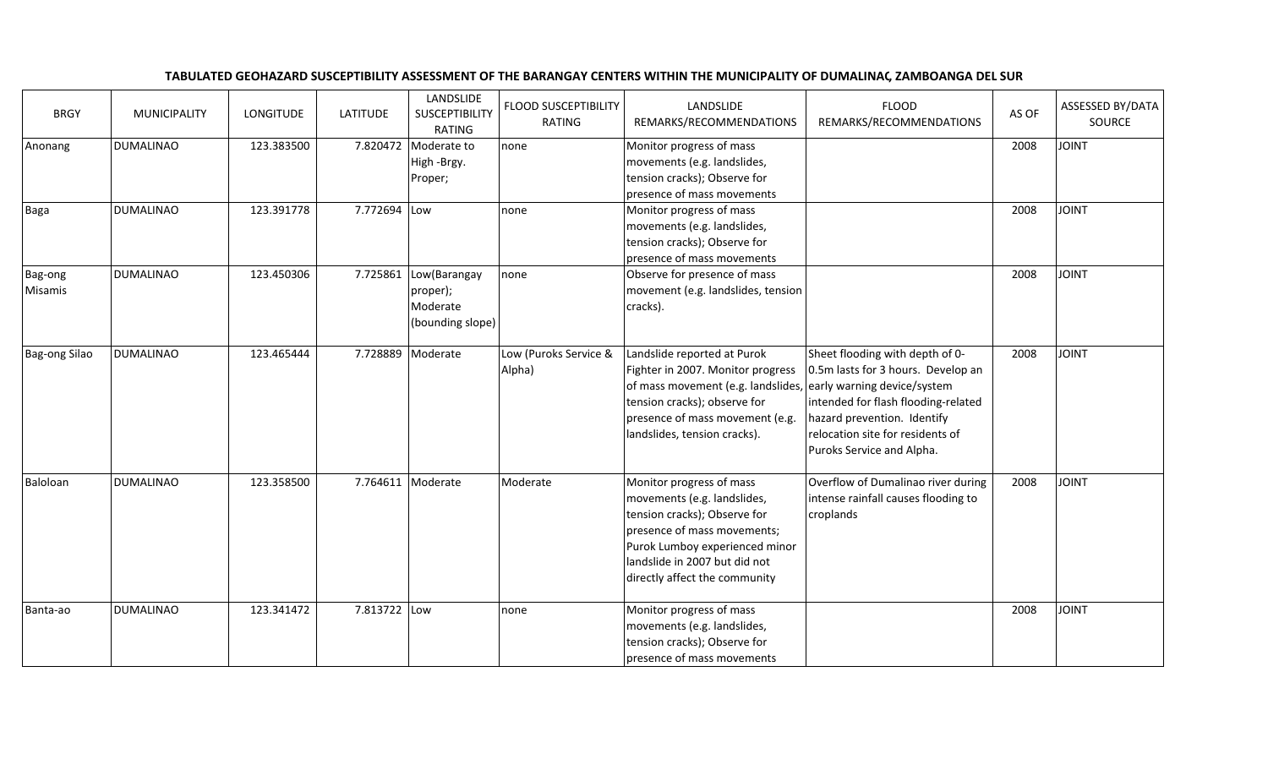| <b>BRGY</b>        | <b>MUNICIPALITY</b> | LONGITUDE  | <b>LATITUDE</b> | LANDSLIDE<br><b>SUSCEPTIBILITY</b><br><b>RATING</b>               | <b>FLOOD SUSCEPTIBILITY</b><br>RATING | LANDSLIDE<br>REMARKS/RECOMMENDATIONS                                                                                                                                                                                                  | <b>FLOOD</b><br>REMARKS/RECOMMENDATIONS                                                                                                                                                                      | AS OF | ASSESSED BY/DATA<br>SOURCE |
|--------------------|---------------------|------------|-----------------|-------------------------------------------------------------------|---------------------------------------|---------------------------------------------------------------------------------------------------------------------------------------------------------------------------------------------------------------------------------------|--------------------------------------------------------------------------------------------------------------------------------------------------------------------------------------------------------------|-------|----------------------------|
| Anonang            | <b>DUMALINAO</b>    | 123.383500 | 7.820472        | Moderate to<br>High -Brgy.<br>Proper;                             | none                                  | Monitor progress of mass<br>movements (e.g. landslides,<br>tension cracks); Observe for<br>presence of mass movements                                                                                                                 |                                                                                                                                                                                                              | 2008  | <b>JOINT</b>               |
| Baga               | <b>DUMALINAO</b>    | 123.391778 | 7.772694 Low    |                                                                   | none                                  | Monitor progress of mass<br>movements (e.g. landslides,<br>tension cracks); Observe for<br>presence of mass movements                                                                                                                 |                                                                                                                                                                                                              | 2008  | <b>JOINT</b>               |
| Bag-ong<br>Misamis | <b>DUMALINAO</b>    | 123.450306 |                 | 7.725861 Low(Barangay<br>proper);<br>Moderate<br>(bounding slope) | none                                  | Observe for presence of mass<br>movement (e.g. landslides, tension<br>cracks).                                                                                                                                                        |                                                                                                                                                                                                              | 2008  | <b>JOINT</b>               |
| Bag-ong Silao      | <b>DUMALINAO</b>    | 123.465444 |                 | 7.728889 Moderate                                                 | Low (Puroks Service &<br>Alpha)       | Landslide reported at Purok<br>Fighter in 2007. Monitor progress<br>of mass movement (e.g. landslides, early warning device/system<br>tension cracks); observe for<br>presence of mass movement (e.g.<br>landslides, tension cracks). | Sheet flooding with depth of 0-<br>0.5m lasts for 3 hours. Develop an<br>intended for flash flooding-related<br>hazard prevention. Identify<br>relocation site for residents of<br>Puroks Service and Alpha. | 2008  | <b>JOINT</b>               |
| Baloloan           | <b>DUMALINAO</b>    | 123.358500 |                 | 7.764611 Moderate                                                 | Moderate                              | Monitor progress of mass<br>movements (e.g. landslides,<br>tension cracks); Observe for<br>presence of mass movements;<br>Purok Lumboy experienced minor<br>landslide in 2007 but did not<br>directly affect the community            | Overflow of Dumalinao river during<br>intense rainfall causes flooding to<br>croplands                                                                                                                       | 2008  | <b>JOINT</b>               |
| Banta-ao           | <b>DUMALINAO</b>    | 123.341472 | 7.813722 Low    |                                                                   | none                                  | Monitor progress of mass<br>movements (e.g. landslides,<br>tension cracks); Observe for<br>presence of mass movements                                                                                                                 |                                                                                                                                                                                                              | 2008  | <b>JOINT</b>               |

## TABULATED GEOHAZARD SUSCEPTIBILITY ASSESSMENT OF THE BARANGAY CENTERS WITHIN THE MUNICIPALITY OF DUMALINAC, ZAMBOANGA DEL SUR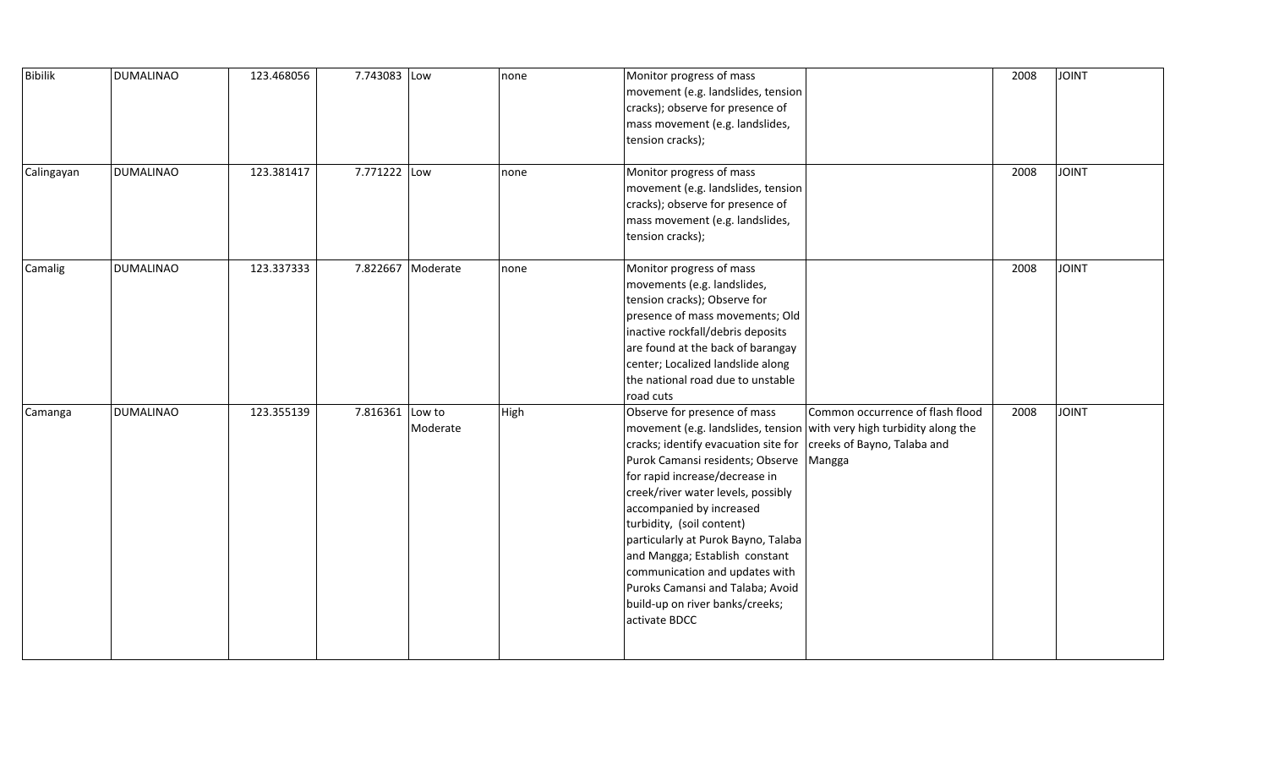| <b>Bibilik</b><br>Calingayan | <b>DUMALINAO</b><br><b>DUMALINAO</b> | 123.468056<br>123.381417 | 7.743083 Low<br>7.771222 Low |                   | none<br>none | Monitor progress of mass<br>movement (e.g. landslides, tension<br>cracks); observe for presence of<br>mass movement (e.g. landslides,<br>tension cracks);<br>Monitor progress of mass                                                                                                                                                                                                                                                                                                                                                                        |                                  | 2008<br>2008 | JOINT<br><b>JOINT</b> |
|------------------------------|--------------------------------------|--------------------------|------------------------------|-------------------|--------------|--------------------------------------------------------------------------------------------------------------------------------------------------------------------------------------------------------------------------------------------------------------------------------------------------------------------------------------------------------------------------------------------------------------------------------------------------------------------------------------------------------------------------------------------------------------|----------------------------------|--------------|-----------------------|
|                              |                                      |                          |                              |                   |              | movement (e.g. landslides, tension<br>cracks); observe for presence of<br>mass movement (e.g. landslides,<br>tension cracks);                                                                                                                                                                                                                                                                                                                                                                                                                                |                                  |              |                       |
| Camalig                      | <b>DUMALINAO</b>                     | 123.337333               |                              | 7.822667 Moderate | none         | Monitor progress of mass<br>movements (e.g. landslides,<br>tension cracks); Observe for<br>presence of mass movements; Old<br>inactive rockfall/debris deposits<br>are found at the back of barangay<br>center; Localized landslide along<br>the national road due to unstable<br>road cuts                                                                                                                                                                                                                                                                  |                                  | 2008         | <b>JOINT</b>          |
| Camanga                      | <b>DUMALINAO</b>                     | 123.355139               | 7.816361 Low to              | Moderate          | High         | Observe for presence of mass<br>movement (e.g. landslides, tension with very high turbidity along the<br>cracks; identify evacuation site for   creeks of Bayno, Talaba and<br>Purok Camansi residents; Observe   Mangga<br>for rapid increase/decrease in<br>creek/river water levels, possibly<br>accompanied by increased<br>turbidity, (soil content)<br>particularly at Purok Bayno, Talaba<br>and Mangga; Establish constant<br>communication and updates with<br>Puroks Camansi and Talaba; Avoid<br>build-up on river banks/creeks;<br>activate BDCC | Common occurrence of flash flood | 2008         | <b>JOINT</b>          |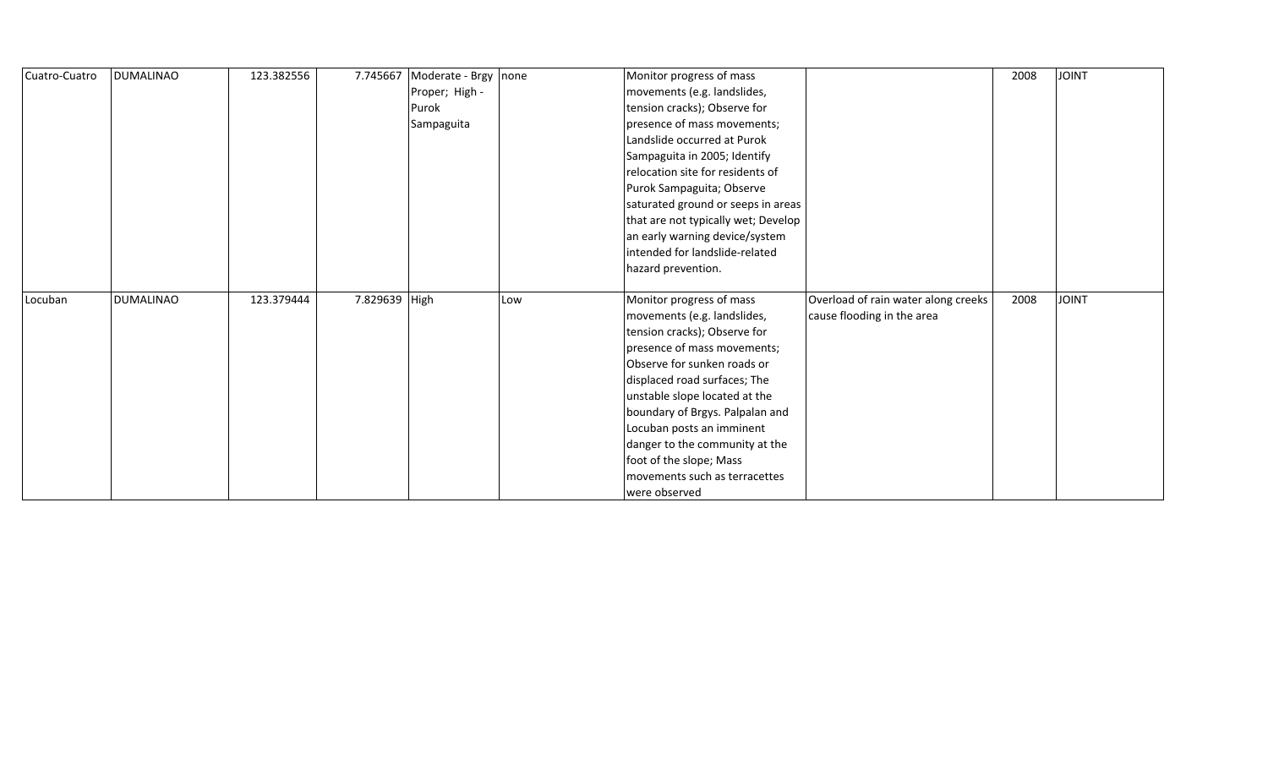| Cuatro-Cuatro | <b>DUMALINAO</b> | 123.382556 | 7.745667      | Moderate - Brgy | none | Monitor progress of mass            |                                     | 2008 | <b>TAIOL</b> |
|---------------|------------------|------------|---------------|-----------------|------|-------------------------------------|-------------------------------------|------|--------------|
|               |                  |            |               | Proper; High -  |      | movements (e.g. landslides,         |                                     |      |              |
|               |                  |            |               | Purok           |      | tension cracks); Observe for        |                                     |      |              |
|               |                  |            |               | Sampaguita      |      | presence of mass movements;         |                                     |      |              |
|               |                  |            |               |                 |      | Landslide occurred at Purok         |                                     |      |              |
|               |                  |            |               |                 |      | Sampaguita in 2005; Identify        |                                     |      |              |
|               |                  |            |               |                 |      | relocation site for residents of    |                                     |      |              |
|               |                  |            |               |                 |      | Purok Sampaguita; Observe           |                                     |      |              |
|               |                  |            |               |                 |      | saturated ground or seeps in areas  |                                     |      |              |
|               |                  |            |               |                 |      | that are not typically wet; Develop |                                     |      |              |
|               |                  |            |               |                 |      | an early warning device/system      |                                     |      |              |
|               |                  |            |               |                 |      | intended for landslide-related      |                                     |      |              |
|               |                  |            |               |                 |      | hazard prevention.                  |                                     |      |              |
|               |                  |            |               |                 |      |                                     |                                     |      |              |
| Locuban       | <b>DUMALINAO</b> | 123.379444 | 7.829639 High |                 | Low  | Monitor progress of mass            | Overload of rain water along creeks | 2008 | <b>JOINT</b> |
|               |                  |            |               |                 |      | movements (e.g. landslides,         | cause flooding in the area          |      |              |
|               |                  |            |               |                 |      | tension cracks); Observe for        |                                     |      |              |
|               |                  |            |               |                 |      | presence of mass movements;         |                                     |      |              |
|               |                  |            |               |                 |      | Observe for sunken roads or         |                                     |      |              |
|               |                  |            |               |                 |      | displaced road surfaces; The        |                                     |      |              |
|               |                  |            |               |                 |      | unstable slope located at the       |                                     |      |              |
|               |                  |            |               |                 |      | boundary of Brgys. Palpalan and     |                                     |      |              |
|               |                  |            |               |                 |      | Locuban posts an imminent           |                                     |      |              |
|               |                  |            |               |                 |      | danger to the community at the      |                                     |      |              |
|               |                  |            |               |                 |      | foot of the slope; Mass             |                                     |      |              |
|               |                  |            |               |                 |      | movements such as terracettes       |                                     |      |              |
|               |                  |            |               |                 |      | were observed                       |                                     |      |              |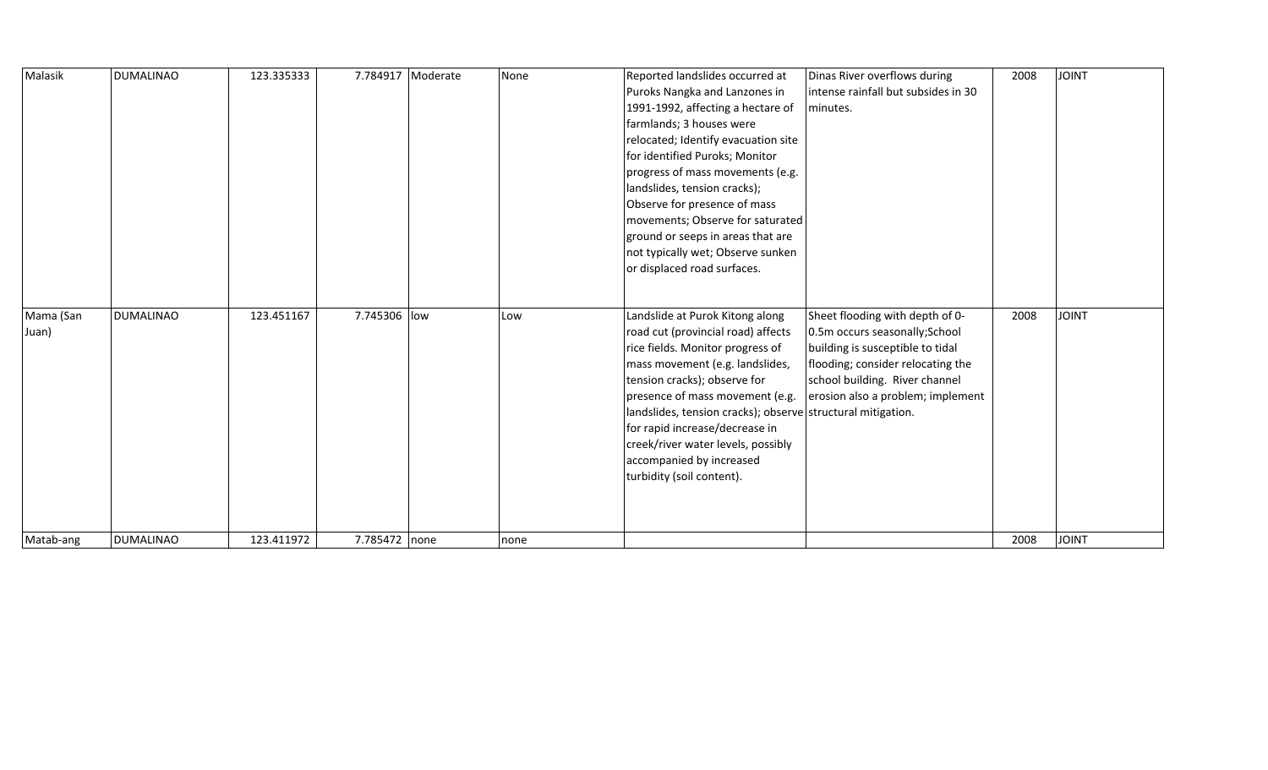| Malasik   | <b>DUMALINAO</b> | 123.335333 |               | 7.784917 Moderate | None | Reported landslides occurred at                             | Dinas River overflows during        | 2008 | <b>JOINT</b> |
|-----------|------------------|------------|---------------|-------------------|------|-------------------------------------------------------------|-------------------------------------|------|--------------|
|           |                  |            |               |                   |      | Puroks Nangka and Lanzones in                               | intense rainfall but subsides in 30 |      |              |
|           |                  |            |               |                   |      | 1991-1992, affecting a hectare of                           | minutes.                            |      |              |
|           |                  |            |               |                   |      | farmlands; 3 houses were                                    |                                     |      |              |
|           |                  |            |               |                   |      | relocated; Identify evacuation site                         |                                     |      |              |
|           |                  |            |               |                   |      | for identified Puroks; Monitor                              |                                     |      |              |
|           |                  |            |               |                   |      | progress of mass movements (e.g.                            |                                     |      |              |
|           |                  |            |               |                   |      | landslides, tension cracks);                                |                                     |      |              |
|           |                  |            |               |                   |      | Observe for presence of mass                                |                                     |      |              |
|           |                  |            |               |                   |      | movements; Observe for saturated                            |                                     |      |              |
|           |                  |            |               |                   |      | ground or seeps in areas that are                           |                                     |      |              |
|           |                  |            |               |                   |      | not typically wet; Observe sunken                           |                                     |      |              |
|           |                  |            |               |                   |      | or displaced road surfaces.                                 |                                     |      |              |
|           |                  |            |               |                   |      |                                                             |                                     |      |              |
|           |                  |            |               |                   |      |                                                             |                                     |      |              |
| Mama (San | <b>DUMALINAO</b> | 123.451167 | 7.745306 low  |                   | Low  | Landslide at Purok Kitong along                             | Sheet flooding with depth of 0-     | 2008 | <b>JOINT</b> |
| Juan)     |                  |            |               |                   |      | road cut (provincial road) affects                          | 0.5m occurs seasonally; School      |      |              |
|           |                  |            |               |                   |      | rice fields. Monitor progress of                            | building is susceptible to tidal    |      |              |
|           |                  |            |               |                   |      | mass movement (e.g. landslides,                             | flooding; consider relocating the   |      |              |
|           |                  |            |               |                   |      | tension cracks); observe for                                | school building. River channel      |      |              |
|           |                  |            |               |                   |      | presence of mass movement (e.g.                             | erosion also a problem; implement   |      |              |
|           |                  |            |               |                   |      | landslides, tension cracks); observe structural mitigation. |                                     |      |              |
|           |                  |            |               |                   |      | for rapid increase/decrease in                              |                                     |      |              |
|           |                  |            |               |                   |      | creek/river water levels, possibly                          |                                     |      |              |
|           |                  |            |               |                   |      | accompanied by increased                                    |                                     |      |              |
|           |                  |            |               |                   |      | turbidity (soil content).                                   |                                     |      |              |
|           |                  |            |               |                   |      |                                                             |                                     |      |              |
|           |                  |            |               |                   |      |                                                             |                                     |      |              |
|           |                  |            |               |                   |      |                                                             |                                     |      |              |
| Matab-ang | <b>DUMALINAO</b> | 123.411972 | 7.785472 none |                   | none |                                                             |                                     | 2008 | JOINT        |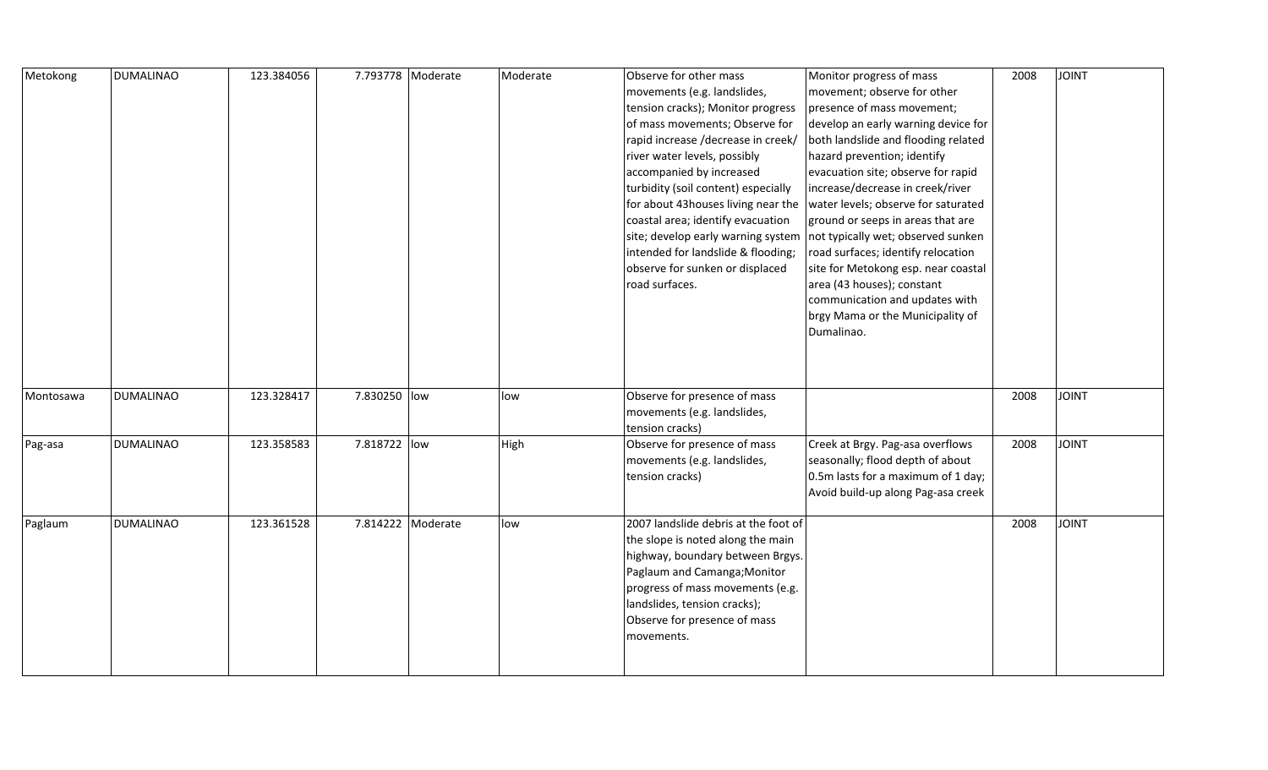| Metokong  | <b>DUMALINAO</b> | 123.384056 | 7.793778 Moderate | Moderate | Observe for other mass<br>movements (e.g. landslides,<br>tension cracks); Monitor progress<br>of mass movements; Observe for<br>rapid increase /decrease in creek/<br>river water levels, possibly<br>accompanied by increased<br>turbidity (soil content) especially<br>for about 43 houses living near the<br>coastal area; identify evacuation<br>site; develop early warning system<br>intended for landslide & flooding;<br>observe for sunken or displaced<br>road surfaces. | Monitor progress of mass<br>movement; observe for other<br>presence of mass movement;<br>develop an early warning device for<br>both landslide and flooding related<br>hazard prevention; identify<br>evacuation site; observe for rapid<br>increase/decrease in creek/river<br>water levels; observe for saturated<br>ground or seeps in areas that are<br>not typically wet; observed sunken<br>road surfaces; identify relocation<br>site for Metokong esp. near coastal<br>area (43 houses); constant<br>communication and updates with<br>brgy Mama or the Municipality of<br>Dumalinao. | 2008 | <b>JOINT</b> |
|-----------|------------------|------------|-------------------|----------|------------------------------------------------------------------------------------------------------------------------------------------------------------------------------------------------------------------------------------------------------------------------------------------------------------------------------------------------------------------------------------------------------------------------------------------------------------------------------------|-----------------------------------------------------------------------------------------------------------------------------------------------------------------------------------------------------------------------------------------------------------------------------------------------------------------------------------------------------------------------------------------------------------------------------------------------------------------------------------------------------------------------------------------------------------------------------------------------|------|--------------|
| Montosawa | <b>DUMALINAO</b> | 123.328417 | 7.830250 low      | low      | Observe for presence of mass<br>movements (e.g. landslides,<br>tension cracks)                                                                                                                                                                                                                                                                                                                                                                                                     |                                                                                                                                                                                                                                                                                                                                                                                                                                                                                                                                                                                               | 2008 | <b>JOINT</b> |
| Pag-asa   | <b>DUMALINAO</b> | 123.358583 | 7.818722 low      | High     | Observe for presence of mass<br>movements (e.g. landslides,<br>tension cracks)                                                                                                                                                                                                                                                                                                                                                                                                     | Creek at Brgy. Pag-asa overflows<br>seasonally; flood depth of about<br>0.5m lasts for a maximum of 1 day;<br>Avoid build-up along Pag-asa creek                                                                                                                                                                                                                                                                                                                                                                                                                                              | 2008 | <b>JOINT</b> |
| Paglaum   | <b>DUMALINAO</b> | 123.361528 | 7.814222 Moderate | low      | 2007 landslide debris at the foot of<br>the slope is noted along the main<br>highway, boundary between Brgys.<br>Paglaum and Camanga; Monitor<br>progress of mass movements (e.g.<br>landslides, tension cracks);<br>Observe for presence of mass<br>movements.                                                                                                                                                                                                                    |                                                                                                                                                                                                                                                                                                                                                                                                                                                                                                                                                                                               | 2008 | <b>JOINT</b> |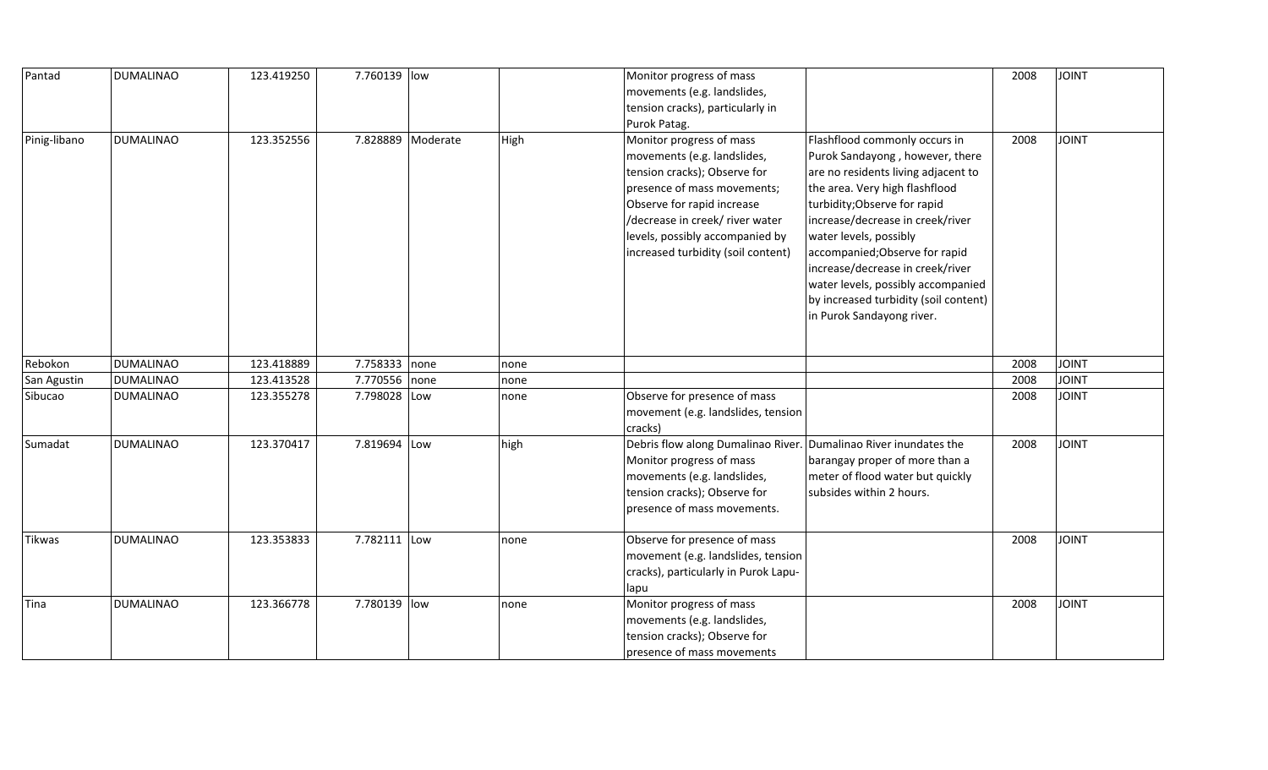| Pantad        | <b>DUMALINAO</b> | 123.419250 | 7.760139 low  |                   |      | Monitor progress of mass<br>movements (e.g. landslides,<br>tension cracks), particularly in<br>Purok Patag.                                                                                                                                                      |                                                                                                                                                                                                                                                                                                                                                                                                                           | 2008 | <b>JOINT</b> |
|---------------|------------------|------------|---------------|-------------------|------|------------------------------------------------------------------------------------------------------------------------------------------------------------------------------------------------------------------------------------------------------------------|---------------------------------------------------------------------------------------------------------------------------------------------------------------------------------------------------------------------------------------------------------------------------------------------------------------------------------------------------------------------------------------------------------------------------|------|--------------|
| Pinig-libano  | <b>DUMALINAO</b> | 123.352556 |               | 7.828889 Moderate | High | Monitor progress of mass<br>movements (e.g. landslides,<br>tension cracks); Observe for<br>presence of mass movements;<br>Observe for rapid increase<br>/decrease in creek/ river water<br>levels, possibly accompanied by<br>increased turbidity (soil content) | Flashflood commonly occurs in<br>Purok Sandayong, however, there<br>are no residents living adjacent to<br>the area. Very high flashflood<br>turbidity; Observe for rapid<br>increase/decrease in creek/river<br>water levels, possibly<br>accompanied; Observe for rapid<br>increase/decrease in creek/river<br>water levels, possibly accompanied<br>by increased turbidity (soil content)<br>in Purok Sandayong river. | 2008 | <b>JOINT</b> |
| Rebokon       | <b>DUMALINAO</b> | 123.418889 | 7.758333 none |                   | none |                                                                                                                                                                                                                                                                  |                                                                                                                                                                                                                                                                                                                                                                                                                           | 2008 | JOINT        |
| San Agustin   | <b>DUMALINAO</b> | 123.413528 | 7.770556 none |                   | none |                                                                                                                                                                                                                                                                  |                                                                                                                                                                                                                                                                                                                                                                                                                           | 2008 | JOINT        |
| Sibucao       | <b>DUMALINAO</b> | 123.355278 | 7.798028 Low  |                   | none | Observe for presence of mass<br>movement (e.g. landslides, tension<br>cracks)                                                                                                                                                                                    |                                                                                                                                                                                                                                                                                                                                                                                                                           | 2008 | <b>JOINT</b> |
| Sumadat       | <b>DUMALINAO</b> | 123.370417 | 7.819694 Low  |                   | high | Debris flow along Dumalinao River. Dumalinao River inundates the<br>Monitor progress of mass<br>movements (e.g. landslides,<br>tension cracks); Observe for<br>presence of mass movements.                                                                       | barangay proper of more than a<br>meter of flood water but quickly<br>subsides within 2 hours.                                                                                                                                                                                                                                                                                                                            | 2008 | <b>JOINT</b> |
| <b>Tikwas</b> | <b>DUMALINAO</b> | 123.353833 | 7.782111 Low  |                   | none | Observe for presence of mass<br>movement (e.g. landslides, tension<br>cracks), particularly in Purok Lapu-<br>lapu                                                                                                                                               |                                                                                                                                                                                                                                                                                                                                                                                                                           | 2008 | <b>JOINT</b> |
| Tina          | <b>DUMALINAO</b> | 123.366778 | 7.780139 low  |                   | none | Monitor progress of mass<br>movements (e.g. landslides,<br>tension cracks); Observe for<br>presence of mass movements                                                                                                                                            |                                                                                                                                                                                                                                                                                                                                                                                                                           | 2008 | <b>JOINT</b> |